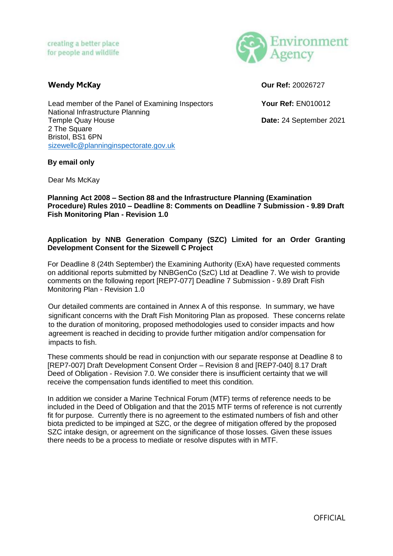

**Wendy McKay Our Ref:** 20026727

Lead member of the Panel of Examining Inspectors **Your Ref:** EN010012 National Infrastructure Planning Temple Quay House **Date:** 24 September 2021 2 The Square Bristol, BS1 6PN [sizewellc@planninginspectorate.gov.uk](mailto:sizewellc@planninginspectorate.gov.uk)

### **By email only**

Dear Ms McKay

#### **Planning Act 2008 – Section 88 and the Infrastructure Planning (Examination Procedure) Rules 2010 – Deadline 8: Comments on Deadline 7 Submission - 9.89 Draft Fish Monitoring Plan - Revision 1.0**

## **Application by NNB Generation Company (SZC) Limited for an Order Granting Development Consent for the Sizewell C Project**

For Deadline 8 (24th September) the Examining Authority (ExA) have requested comments on additional reports submitted by NNBGenCo (SzC) Ltd at Deadline 7. We wish to provide comments on the following report [REP7-077] Deadline 7 Submission - 9.89 Draft Fish Monitoring Plan - Revision 1.0

Our detailed comments are contained in Annex A of this response. In summary, we have significant concerns with the Draft Fish Monitoring Plan as proposed. These concerns relate to the duration of monitoring, proposed methodologies used to consider impacts and how agreement is reached in deciding to provide further mitigation and/or compensation for impacts to fish.

These comments should be read in conjunction with our separate response at Deadline 8 to [REP7-007] Draft Development Consent Order – Revision 8 and [REP7-040] 8.17 Draft Deed of Obligation - Revision 7.0. We consider there is insufficient certainty that we will receive the compensation funds identified to meet this condition.

In addition we consider a Marine Technical Forum (MTF) terms of reference needs to be included in the Deed of Obligation and that the 2015 MTF terms of reference is not currently fit for purpose. Currently there is no agreement to the estimated numbers of fish and other biota predicted to be impinged at SZC, or the degree of mitigation offered by the proposed SZC intake design, or agreement on the significance of those losses. Given these issues there needs to be a process to mediate or resolve disputes with in MTF.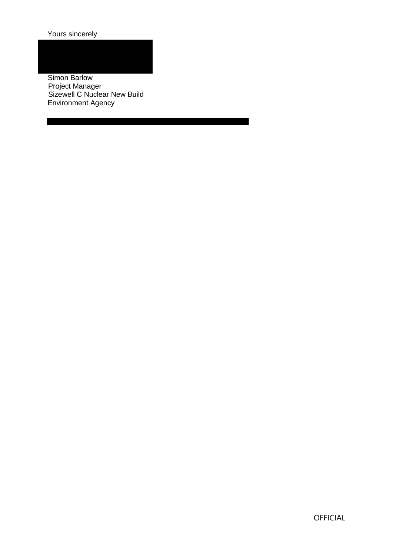Yours sincerely

Simon Barlow Project Manager Sizewell C Nuclear New Build Environment Agency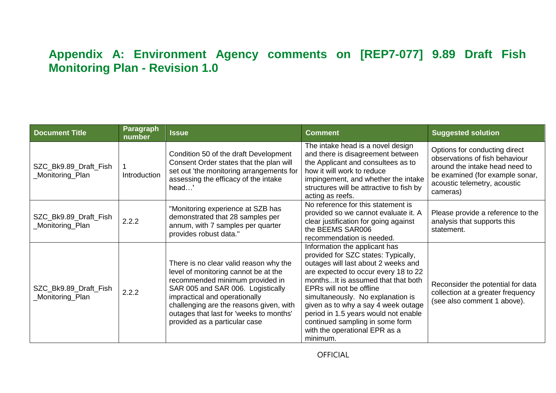# **Appendix A: Environment Agency comments on [REP7-077] 9.89 Draft Fish Monitoring Plan - Revision 1.0**

| <b>Document Title</b>                     | <b>Paragraph</b><br>number | <b>Issue</b>                                                                                                                                                                                                                                                                                                   | <b>Comment</b>                                                                                                                                                                                                                                                                                                                                                                                                            | <b>Suggested solution</b>                                                                                                                                                        |
|-------------------------------------------|----------------------------|----------------------------------------------------------------------------------------------------------------------------------------------------------------------------------------------------------------------------------------------------------------------------------------------------------------|---------------------------------------------------------------------------------------------------------------------------------------------------------------------------------------------------------------------------------------------------------------------------------------------------------------------------------------------------------------------------------------------------------------------------|----------------------------------------------------------------------------------------------------------------------------------------------------------------------------------|
| SZC_Bk9.89_Draft_Fish<br>_Monitoring_Plan | Introduction               | Condition 50 of the draft Development<br>Consent Order states that the plan will<br>set out 'the monitoring arrangements for<br>assessing the efficacy of the intake<br>head'                                                                                                                                  | The intake head is a novel design<br>and there is disagreement between<br>the Applicant and consultees as to<br>how it will work to reduce<br>impingement, and whether the intake<br>structures will be attractive to fish by<br>acting as reefs.                                                                                                                                                                         | Options for conducting direct<br>observations of fish behaviour<br>around the intake head need to<br>be examined (for example sonar,<br>acoustic telemetry, acoustic<br>cameras) |
| SZC_Bk9.89_Draft_Fish<br>_Monitoring_Plan | 2.2.2                      | "Monitoring experience at SZB has<br>demonstrated that 28 samples per<br>annum, with 7 samples per quarter<br>provides robust data."                                                                                                                                                                           | No reference for this statement is<br>provided so we cannot evaluate it. A<br>clear justification for going against<br>the BEEMS SAR006<br>recommendation is needed.                                                                                                                                                                                                                                                      | Please provide a reference to the<br>analysis that supports this<br>statement.                                                                                                   |
| SZC_Bk9.89_Draft_Fish<br>_Monitoring_Plan | 2.2.2                      | There is no clear valid reason why the<br>level of monitoring cannot be at the<br>recommended minimum provided in<br>SAR 005 and SAR 006. Logistically<br>impractical and operationally<br>challenging are the reasons given, with<br>outages that last for 'weeks to months'<br>provided as a particular case | Information the applicant has<br>provided for SZC states: Typically,<br>outages will last about 2 weeks and<br>are expected to occur every 18 to 22<br>monthsIt is assumed that that both<br>EPRs will not be offline<br>simultaneously. No explanation is<br>given as to why a say 4 week outage<br>period in 1.5 years would not enable<br>continued sampling in some form<br>with the operational EPR as a<br>minimum. | Reconsider the potential for data<br>collection at a greater frequency<br>(see also comment 1 above).                                                                            |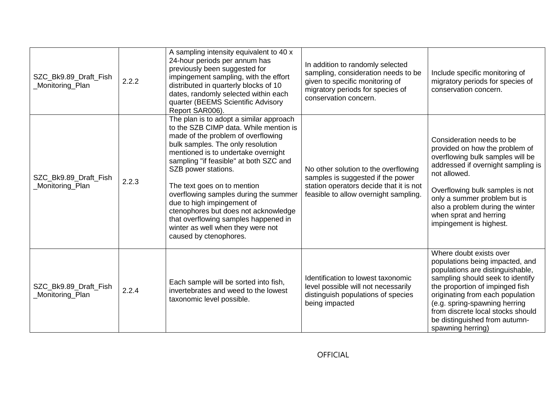| SZC_Bk9.89_Draft_Fish<br>Monitoring_Plan | 2.2.2 | A sampling intensity equivalent to 40 x<br>24-hour periods per annum has<br>previously been suggested for<br>impingement sampling, with the effort<br>distributed in quarterly blocks of 10<br>dates, randomly selected within each<br>quarter (BEEMS Scientific Advisory<br>Report SAR006).                                                                                                                                                                                                                              | In addition to randomly selected<br>sampling, consideration needs to be<br>given to specific monitoring of<br>migratory periods for species of<br>conservation concern. | Include specific monitoring of<br>migratory periods for species of<br>conservation concern.                                                                                                                                                                                                                                           |
|------------------------------------------|-------|---------------------------------------------------------------------------------------------------------------------------------------------------------------------------------------------------------------------------------------------------------------------------------------------------------------------------------------------------------------------------------------------------------------------------------------------------------------------------------------------------------------------------|-------------------------------------------------------------------------------------------------------------------------------------------------------------------------|---------------------------------------------------------------------------------------------------------------------------------------------------------------------------------------------------------------------------------------------------------------------------------------------------------------------------------------|
| SZC_Bk9.89_Draft_Fish<br>Monitoring_Plan | 2.2.3 | The plan is to adopt a similar approach<br>to the SZB CIMP data. While mention is<br>made of the problem of overflowing<br>bulk samples. The only resolution<br>mentioned is to undertake overnight<br>sampling "if feasible" at both SZC and<br>SZB power stations.<br>The text goes on to mention<br>overflowing samples during the summer<br>due to high impingement of<br>ctenophores but does not acknowledge<br>that overflowing samples happened in<br>winter as well when they were not<br>caused by ctenophores. | No other solution to the overflowing<br>samples is suggested if the power<br>station operators decide that it is not<br>feasible to allow overnight sampling.           | Consideration needs to be<br>provided on how the problem of<br>overflowing bulk samples will be<br>addressed if overnight sampling is<br>not allowed.<br>Overflowing bulk samples is not<br>only a summer problem but is<br>also a problem during the winter<br>when sprat and herring<br>impingement is highest.                     |
| SZC_Bk9.89_Draft_Fish<br>Monitoring Plan | 2.2.4 | Each sample will be sorted into fish,<br>invertebrates and weed to the lowest<br>taxonomic level possible.                                                                                                                                                                                                                                                                                                                                                                                                                | Identification to lowest taxonomic<br>level possible will not necessarily<br>distinguish populations of species<br>being impacted                                       | Where doubt exists over<br>populations being impacted, and<br>populations are distinguishable,<br>sampling should seek to identify<br>the proportion of impinged fish<br>originating from each population<br>(e.g. spring-spawning herring<br>from discrete local stocks should<br>be distinguished from autumn-<br>spawning herring) |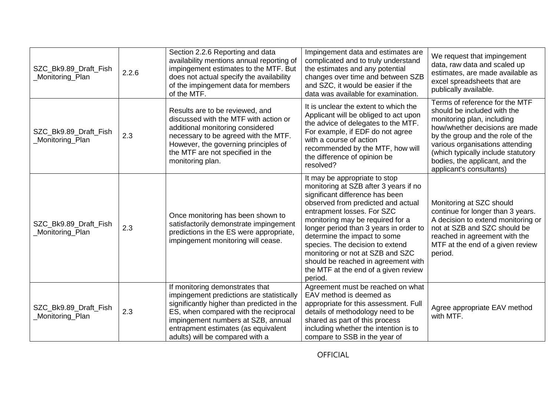| SZC_Bk9.89_Draft_Fish<br>Monitoring_Plan | 2.2.6 | Section 2.2.6 Reporting and data<br>availability mentions annual reporting of<br>impingement estimates to the MTF. But<br>does not actual specify the availability<br>of the impingement data for members<br>of the MTF.                                                            | Impingement data and estimates are<br>complicated and to truly understand<br>the estimates and any potential<br>changes over time and between SZB<br>and SZC, it would be easier if the<br>data was available for examination.                                                                                                                                                                                                                               | We request that impingement<br>data, raw data and scaled up<br>estimates, are made available as<br>excel spreadsheets that are<br>publically available.                                                                                                                                                  |
|------------------------------------------|-------|-------------------------------------------------------------------------------------------------------------------------------------------------------------------------------------------------------------------------------------------------------------------------------------|--------------------------------------------------------------------------------------------------------------------------------------------------------------------------------------------------------------------------------------------------------------------------------------------------------------------------------------------------------------------------------------------------------------------------------------------------------------|----------------------------------------------------------------------------------------------------------------------------------------------------------------------------------------------------------------------------------------------------------------------------------------------------------|
| SZC_Bk9.89_Draft_Fish<br>Monitoring_Plan | 2.3   | Results are to be reviewed, and<br>discussed with the MTF with action or<br>additional monitoring considered<br>necessary to be agreed with the MTF.<br>However, the governing principles of<br>the MTF are not specified in the<br>monitoring plan.                                | It is unclear the extent to which the<br>Applicant will be obliged to act upon<br>the advice of delegates to the MTF.<br>For example, if EDF do not agree<br>with a course of action<br>recommended by the MTF, how will<br>the difference of opinion be<br>resolved?                                                                                                                                                                                        | Terms of reference for the MTF<br>should be included with the<br>monitoring plan, including<br>how/whether decisions are made<br>by the group and the role of the<br>various organisations attending<br>(which typically include statutory<br>bodies, the applicant, and the<br>applicant's consultants) |
| SZC_Bk9.89_Draft_Fish<br>Monitoring_Plan | 2.3   | Once monitoring has been shown to<br>satisfactorily demonstrate impingement<br>predictions in the ES were appropriate,<br>impingement monitoring will cease.                                                                                                                        | It may be appropriate to stop<br>monitoring at SZB after 3 years if no<br>significant difference has been<br>observed from predicted and actual<br>entrapment losses. For SZC<br>monitoring may be required for a<br>longer period than 3 years in order to<br>determine the impact to some<br>species. The decision to extend<br>monitoring or not at SZB and SZC<br>should be reached in agreement with<br>the MTF at the end of a given review<br>period. | Monitoring at SZC should<br>continue for longer than 3 years.<br>A decision to extend monitoring or<br>not at SZB and SZC should be<br>reached in agreement with the<br>MTF at the end of a given review<br>period.                                                                                      |
| SZC_Bk9.89_Draft_Fish<br>Monitoring_Plan | 2.3   | If monitoring demonstrates that<br>impingement predictions are statistically<br>significantly higher than predicted in the<br>ES, when compared with the reciprocal<br>impingement numbers at SZB, annual<br>entrapment estimates (as equivalent<br>adults) will be compared with a | Agreement must be reached on what<br>EAV method is deemed as<br>appropriate for this assessment. Full<br>details of methodology need to be<br>shared as part of this process<br>including whether the intention is to<br>compare to SSB in the year of                                                                                                                                                                                                       | Agree appropriate EAV method<br>with MTF.                                                                                                                                                                                                                                                                |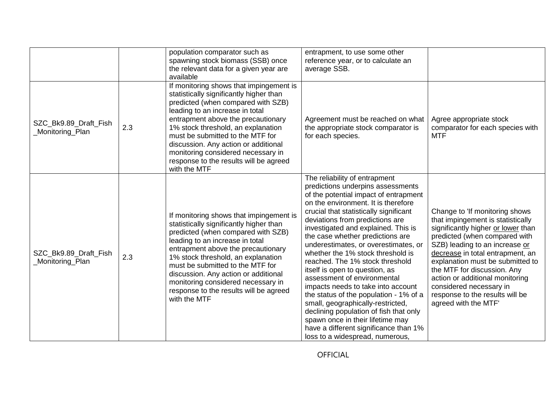|                                          |     | population comparator such as<br>spawning stock biomass (SSB) once<br>the relevant data for a given year are<br>available                                                                                                                                                                                                                                                                                           | entrapment, to use some other<br>reference year, or to calculate an<br>average SSB.                                                                                                                                                                                                                                                                                                                                                                                                                                                                                                                                                                                                                                                                                        |                                                                                                                                                                                                                                                                                                                                                                                                              |
|------------------------------------------|-----|---------------------------------------------------------------------------------------------------------------------------------------------------------------------------------------------------------------------------------------------------------------------------------------------------------------------------------------------------------------------------------------------------------------------|----------------------------------------------------------------------------------------------------------------------------------------------------------------------------------------------------------------------------------------------------------------------------------------------------------------------------------------------------------------------------------------------------------------------------------------------------------------------------------------------------------------------------------------------------------------------------------------------------------------------------------------------------------------------------------------------------------------------------------------------------------------------------|--------------------------------------------------------------------------------------------------------------------------------------------------------------------------------------------------------------------------------------------------------------------------------------------------------------------------------------------------------------------------------------------------------------|
| SZC_Bk9.89_Draft_Fish<br>Monitoring Plan | 2.3 | If monitoring shows that impingement is<br>statistically significantly higher than<br>predicted (when compared with SZB)<br>leading to an increase in total<br>entrapment above the precautionary<br>1% stock threshold, an explanation<br>must be submitted to the MTF for<br>discussion. Any action or additional<br>monitoring considered necessary in<br>response to the results will be agreed<br>with the MTF | Agreement must be reached on what<br>the appropriate stock comparator is<br>for each species.                                                                                                                                                                                                                                                                                                                                                                                                                                                                                                                                                                                                                                                                              | Agree appropriate stock<br>comparator for each species with<br><b>MTF</b>                                                                                                                                                                                                                                                                                                                                    |
| SZC_Bk9.89_Draft_Fish<br>Monitoring Plan | 2.3 | If monitoring shows that impingement is<br>statistically significantly higher than<br>predicted (when compared with SZB)<br>leading to an increase in total<br>entrapment above the precautionary<br>1% stock threshold, an explanation<br>must be submitted to the MTF for<br>discussion. Any action or additional<br>monitoring considered necessary in<br>response to the results will be agreed<br>with the MTF | The reliability of entrapment<br>predictions underpins assessments<br>of the potential impact of entrapment<br>on the environment. It is therefore<br>crucial that statistically significant<br>deviations from predictions are<br>investigated and explained. This is<br>the case whether predictions are<br>underestimates, or overestimates, or<br>whether the 1% stock threshold is<br>reached. The 1% stock threshold<br>itself is open to question, as<br>assessment of environmental<br>impacts needs to take into account<br>the status of the population - 1% of a<br>small, geographically-restricted,<br>declining population of fish that only<br>spawn once in their lifetime may<br>have a different significance than 1%<br>loss to a widespread, numerous, | Change to 'If monitoring shows<br>that impingement is statistically<br>significantly higher or lower than<br>predicted (when compared with<br>SZB) leading to an increase or<br>decrease in total entrapment, an<br>explanation must be submitted to<br>the MTF for discussion. Any<br>action or additional monitoring<br>considered necessary in<br>response to the results will be<br>agreed with the MTF' |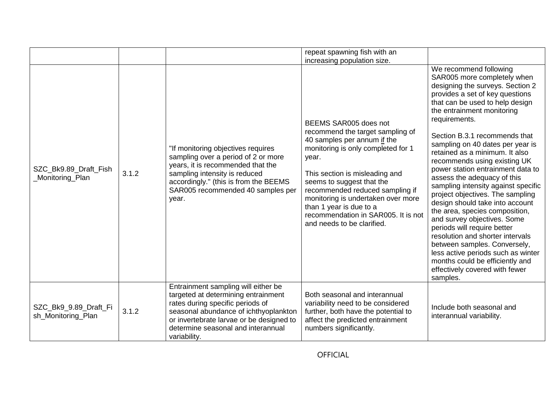|                                             |       |                                                                                                                                                                                                                                                           | repeat spawning fish with an                                                                                                                                                                                                                                                                                                                                                    |                                                                                                                                                                                                                                                                                                                                                                                                                                                                                                                                                                                                                                                                                                                                                                                                          |
|---------------------------------------------|-------|-----------------------------------------------------------------------------------------------------------------------------------------------------------------------------------------------------------------------------------------------------------|---------------------------------------------------------------------------------------------------------------------------------------------------------------------------------------------------------------------------------------------------------------------------------------------------------------------------------------------------------------------------------|----------------------------------------------------------------------------------------------------------------------------------------------------------------------------------------------------------------------------------------------------------------------------------------------------------------------------------------------------------------------------------------------------------------------------------------------------------------------------------------------------------------------------------------------------------------------------------------------------------------------------------------------------------------------------------------------------------------------------------------------------------------------------------------------------------|
|                                             |       |                                                                                                                                                                                                                                                           | increasing population size.                                                                                                                                                                                                                                                                                                                                                     | We recommend following                                                                                                                                                                                                                                                                                                                                                                                                                                                                                                                                                                                                                                                                                                                                                                                   |
| SZC_Bk9.89_Draft_Fish<br>Monitoring Plan    | 3.1.2 | "If monitoring objectives requires<br>sampling over a period of 2 or more<br>years, it is recommended that the<br>sampling intensity is reduced<br>accordingly." (this is from the BEEMS<br>SAR005 recommended 40 samples per<br>year.                    | BEEMS SAR005 does not<br>recommend the target sampling of<br>40 samples per annum if the<br>monitoring is only completed for 1<br>year.<br>This section is misleading and<br>seems to suggest that the<br>recommended reduced sampling if<br>monitoring is undertaken over more<br>than 1 year is due to a<br>recommendation in SAR005. It is not<br>and needs to be clarified. | SAR005 more completely when<br>designing the surveys. Section 2<br>provides a set of key questions<br>that can be used to help design<br>the entrainment monitoring<br>requirements.<br>Section B.3.1 recommends that<br>sampling on 40 dates per year is<br>retained as a minimum. It also<br>recommends using existing UK<br>power station entrainment data to<br>assess the adequacy of this<br>sampling intensity against specific<br>project objectives. The sampling<br>design should take into account<br>the area, species composition,<br>and survey objectives. Some<br>periods will require better<br>resolution and shorter intervals<br>between samples. Conversely,<br>less active periods such as winter<br>months could be efficiently and<br>effectively covered with fewer<br>samples. |
| SZC_Bk9_9.89_Draft_Fi<br>sh_Monitoring_Plan | 3.1.2 | Entrainment sampling will either be<br>targeted at determining entrainment<br>rates during specific periods of<br>seasonal abundance of ichthyoplankton<br>or invertebrate larvae or be designed to<br>determine seasonal and interannual<br>variability. | Both seasonal and interannual<br>variability need to be considered<br>further, both have the potential to<br>affect the predicted entrainment<br>numbers significantly.                                                                                                                                                                                                         | Include both seasonal and<br>interannual variability.                                                                                                                                                                                                                                                                                                                                                                                                                                                                                                                                                                                                                                                                                                                                                    |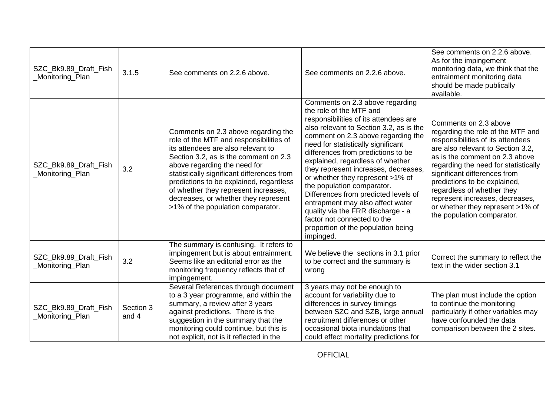| SZC_Bk9.89_Draft_Fish<br>Monitoring_Plan  | 3.1.5              | See comments on 2.2.6 above.                                                                                                                                                                                                                                                                                                                                                                                | See comments on 2.2.6 above.                                                                                                                                                                                                                                                                                                                                                                                                                                                                                                                                                                                      | See comments on 2.2.6 above.<br>As for the impingement<br>monitoring data, we think that the<br>entrainment monitoring data<br>should be made publically<br>available.                                                                                                                                                                                                                                            |
|-------------------------------------------|--------------------|-------------------------------------------------------------------------------------------------------------------------------------------------------------------------------------------------------------------------------------------------------------------------------------------------------------------------------------------------------------------------------------------------------------|-------------------------------------------------------------------------------------------------------------------------------------------------------------------------------------------------------------------------------------------------------------------------------------------------------------------------------------------------------------------------------------------------------------------------------------------------------------------------------------------------------------------------------------------------------------------------------------------------------------------|-------------------------------------------------------------------------------------------------------------------------------------------------------------------------------------------------------------------------------------------------------------------------------------------------------------------------------------------------------------------------------------------------------------------|
| SZC_Bk9.89_Draft_Fish<br>Monitoring_Plan  | 3.2                | Comments on 2.3 above regarding the<br>role of the MTF and responsibilities of<br>its attendees are also relevant to<br>Section 3.2, as is the comment on 2.3<br>above regarding the need for<br>statistically significant differences from<br>predictions to be explained, regardless<br>of whether they represent increases,<br>decreases, or whether they represent<br>>1% of the population comparator. | Comments on 2.3 above regarding<br>the role of the MTF and<br>responsibilities of its attendees are<br>also relevant to Section 3.2, as is the<br>comment on 2.3 above regarding the<br>need for statistically significant<br>differences from predictions to be<br>explained, regardless of whether<br>they represent increases, decreases,<br>or whether they represent >1% of<br>the population comparator.<br>Differences from predicted levels of<br>entrapment may also affect water<br>quality via the FRR discharge - a<br>factor not connected to the<br>proportion of the population being<br>impinged. | Comments on 2.3 above<br>regarding the role of the MTF and<br>responsibilities of its attendees<br>are also relevant to Section 3.2,<br>as is the comment on 2.3 above<br>regarding the need for statistically<br>significant differences from<br>predictions to be explained,<br>regardless of whether they<br>represent increases, decreases,<br>or whether they represent >1% of<br>the population comparator. |
| SZC Bk9.89 Draft Fish<br>Monitoring_Plan  | 3.2                | The summary is confusing. It refers to<br>impingement but is about entrainment.<br>Seems like an editorial error as the<br>monitoring frequency reflects that of<br>impingement.                                                                                                                                                                                                                            | We believe the sections in 3.1 prior<br>to be correct and the summary is<br>wrong                                                                                                                                                                                                                                                                                                                                                                                                                                                                                                                                 | Correct the summary to reflect the<br>text in the wider section 3.1                                                                                                                                                                                                                                                                                                                                               |
| SZC Bk9.89 Draft Fish<br>_Monitoring_Plan | Section 3<br>and 4 | Several References through document<br>to a 3 year programme, and within the<br>summary, a review after 3 years<br>against predictions. There is the<br>suggestion in the summary that the<br>monitoring could continue, but this is<br>not explicit, not is it reflected in the                                                                                                                            | 3 years may not be enough to<br>account for variability due to<br>differences in survey timings<br>between SZC and SZB, large annual<br>recruitment differences or other<br>occasional biota inundations that<br>could effect mortality predictions for                                                                                                                                                                                                                                                                                                                                                           | The plan must include the option<br>to continue the monitoring<br>particularly if other variables may<br>have confounded the data<br>comparison between the 2 sites.                                                                                                                                                                                                                                              |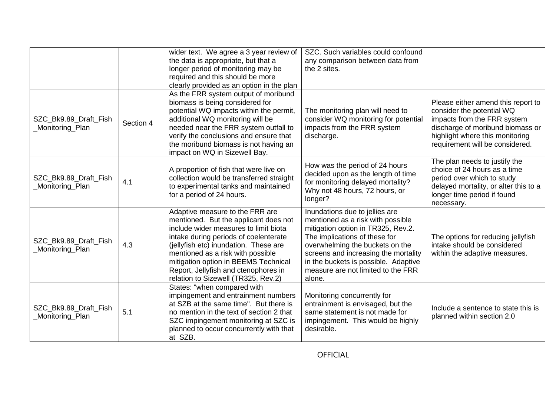|                                          |           | wider text. We agree a 3 year review of<br>the data is appropriate, but that a<br>longer period of monitoring may be<br>required and this should be more<br>clearly provided as an option in the plan                                                                                                                                                           | SZC. Such variables could confound<br>any comparison between data from<br>the 2 sites.                                                                                                                                                                                                                        |                                                                                                                                                                                                          |
|------------------------------------------|-----------|-----------------------------------------------------------------------------------------------------------------------------------------------------------------------------------------------------------------------------------------------------------------------------------------------------------------------------------------------------------------|---------------------------------------------------------------------------------------------------------------------------------------------------------------------------------------------------------------------------------------------------------------------------------------------------------------|----------------------------------------------------------------------------------------------------------------------------------------------------------------------------------------------------------|
| SZC_Bk9.89_Draft_Fish<br>Monitoring_Plan | Section 4 | As the FRR system output of moribund<br>biomass is being considered for<br>potential WQ impacts within the permit,<br>additional WQ monitoring will be<br>needed near the FRR system outfall to<br>verify the conclusions and ensure that<br>the moribund biomass is not having an<br>impact on WQ in Sizewell Bay.                                             | The monitoring plan will need to<br>consider WQ monitoring for potential<br>impacts from the FRR system<br>discharge.                                                                                                                                                                                         | Please either amend this report to<br>consider the potential WQ<br>impacts from the FRR system<br>discharge of moribund biomass or<br>highlight where this monitoring<br>requirement will be considered. |
| SZC_Bk9.89_Draft_Fish<br>Monitoring_Plan | 4.1       | A proportion of fish that were live on<br>collection would be transferred straight<br>to experimental tanks and maintained<br>for a period of 24 hours.                                                                                                                                                                                                         | How was the period of 24 hours<br>decided upon as the length of time<br>for monitoring delayed mortality?<br>Why not 48 hours, 72 hours, or<br>longer?                                                                                                                                                        | The plan needs to justify the<br>choice of 24 hours as a time<br>period over which to study<br>delayed mortality, or alter this to a<br>longer time period if found<br>necessary.                        |
| SZC Bk9.89 Draft Fish<br>Monitoring Plan | 4.3       | Adaptive measure to the FRR are<br>mentioned. But the applicant does not<br>include wider measures to limit biota<br>intake during periods of coelenterate<br>(jellyfish etc) inundation. These are<br>mentioned as a risk with possible<br>mitigation option in BEEMS Technical<br>Report, Jellyfish and ctenophores in<br>relation to Sizewell (TR325, Rev.2) | Inundations due to jellies are<br>mentioned as a risk with possible<br>mitigation option in TR325, Rev.2.<br>The implications of these for<br>overwhelming the buckets on the<br>screens and increasing the mortality<br>in the buckets is possible. Adaptive<br>measure are not limited to the FRR<br>alone. | The options for reducing jellyfish<br>intake should be considered<br>within the adaptive measures.                                                                                                       |
| SZC_Bk9.89_Draft_Fish<br>Monitoring_Plan | 5.1       | States: "when compared with<br>impingement and entrainment numbers<br>at SZB at the same time". But there is<br>no mention in the text of section 2 that<br>SZC impingement monitoring at SZC is<br>planned to occur concurrently with that<br>at SZB.                                                                                                          | Monitoring concurrently for<br>entrainment is envisaged, but the<br>same statement is not made for<br>impingement. This would be highly<br>desirable.                                                                                                                                                         | Include a sentence to state this is<br>planned within section 2.0                                                                                                                                        |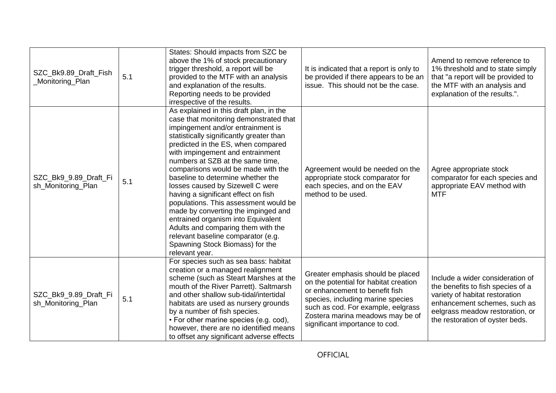| SZC_Bk9.89_Draft_Fish<br>_Monitoring_Plan   | 5.1 | States: Should impacts from SZC be<br>above the 1% of stock precautionary<br>trigger threshold, a report will be<br>provided to the MTF with an analysis<br>and explanation of the results.<br>Reporting needs to be provided<br>irrespective of the results.                                                                                                                                                                                                                                                                                                                                                                                                                                 | It is indicated that a report is only to<br>be provided if there appears to be an<br>issue. This should not be the case.                                                                                                                                      | Amend to remove reference to<br>1% threshold and to state simply<br>that "a report will be provided to<br>the MTF with an analysis and<br>explanation of the results.".                                       |
|---------------------------------------------|-----|-----------------------------------------------------------------------------------------------------------------------------------------------------------------------------------------------------------------------------------------------------------------------------------------------------------------------------------------------------------------------------------------------------------------------------------------------------------------------------------------------------------------------------------------------------------------------------------------------------------------------------------------------------------------------------------------------|---------------------------------------------------------------------------------------------------------------------------------------------------------------------------------------------------------------------------------------------------------------|---------------------------------------------------------------------------------------------------------------------------------------------------------------------------------------------------------------|
| SZC_Bk9_9.89_Draft_Fi<br>sh Monitoring Plan | 5.1 | As explained in this draft plan, in the<br>case that monitoring demonstrated that<br>impingement and/or entrainment is<br>statistically significantly greater than<br>predicted in the ES, when compared<br>with impingement and entrainment<br>numbers at SZB at the same time,<br>comparisons would be made with the<br>baseline to determine whether the<br>losses caused by Sizewell C were<br>having a significant effect on fish<br>populations. This assessment would be<br>made by converting the impinged and<br>entrained organism into Equivalent<br>Adults and comparing them with the<br>relevant baseline comparator (e.g.<br>Spawning Stock Biomass) for the<br>relevant year. | Agreement would be needed on the<br>appropriate stock comparator for<br>each species, and on the EAV<br>method to be used.                                                                                                                                    | Agree appropriate stock<br>comparator for each species and<br>appropriate EAV method with<br><b>MTF</b>                                                                                                       |
| SZC_Bk9_9.89_Draft_Fi<br>sh Monitoring Plan | 5.1 | For species such as sea bass: habitat<br>creation or a managed realignment<br>scheme (such as Steart Marshes at the<br>mouth of the River Parrett). Saltmarsh<br>and other shallow sub-tidal/intertidal<br>habitats are used as nursery grounds<br>by a number of fish species.<br>• For other marine species (e.g. cod),<br>however, there are no identified means<br>to offset any significant adverse effects                                                                                                                                                                                                                                                                              | Greater emphasis should be placed<br>on the potential for habitat creation<br>or enhancement to benefit fish<br>species, including marine species<br>such as cod. For example, eelgrass<br>Zostera marina meadows may be of<br>significant importance to cod. | Include a wider consideration of<br>the benefits to fish species of a<br>variety of habitat restoration<br>enhancement schemes, such as<br>eelgrass meadow restoration, or<br>the restoration of oyster beds. |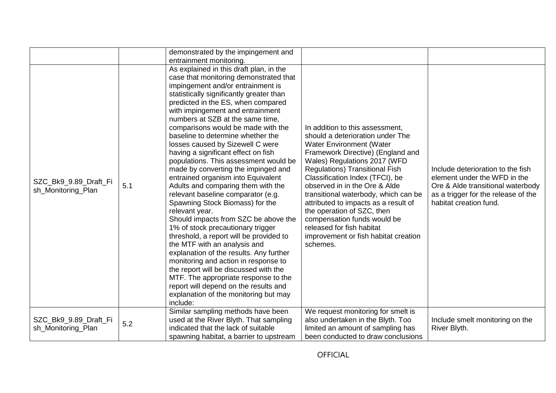|                                             |     | demonstrated by the impingement and                                                                                                                                                                                                                                                                                                                                                                                                                                                                                                                                                                                                                                                                                                                                                                                                                                                                                                                                                                                                                                                                                     |                                                                                                                                                                                                                                                                                                                                                                                                                                                                                                                        |                                                                                                                                                                         |
|---------------------------------------------|-----|-------------------------------------------------------------------------------------------------------------------------------------------------------------------------------------------------------------------------------------------------------------------------------------------------------------------------------------------------------------------------------------------------------------------------------------------------------------------------------------------------------------------------------------------------------------------------------------------------------------------------------------------------------------------------------------------------------------------------------------------------------------------------------------------------------------------------------------------------------------------------------------------------------------------------------------------------------------------------------------------------------------------------------------------------------------------------------------------------------------------------|------------------------------------------------------------------------------------------------------------------------------------------------------------------------------------------------------------------------------------------------------------------------------------------------------------------------------------------------------------------------------------------------------------------------------------------------------------------------------------------------------------------------|-------------------------------------------------------------------------------------------------------------------------------------------------------------------------|
|                                             |     | entrainment monitoring.                                                                                                                                                                                                                                                                                                                                                                                                                                                                                                                                                                                                                                                                                                                                                                                                                                                                                                                                                                                                                                                                                                 |                                                                                                                                                                                                                                                                                                                                                                                                                                                                                                                        |                                                                                                                                                                         |
|                                             |     |                                                                                                                                                                                                                                                                                                                                                                                                                                                                                                                                                                                                                                                                                                                                                                                                                                                                                                                                                                                                                                                                                                                         |                                                                                                                                                                                                                                                                                                                                                                                                                                                                                                                        |                                                                                                                                                                         |
| SZC_Bk9_9.89_Draft_Fi<br>sh_Monitoring_Plan | 5.1 | As explained in this draft plan, in the<br>case that monitoring demonstrated that<br>impingement and/or entrainment is<br>statistically significantly greater than<br>predicted in the ES, when compared<br>with impingement and entrainment<br>numbers at SZB at the same time,<br>comparisons would be made with the<br>baseline to determine whether the<br>losses caused by Sizewell C were<br>having a significant effect on fish<br>populations. This assessment would be<br>made by converting the impinged and<br>entrained organism into Equivalent<br>Adults and comparing them with the<br>relevant baseline comparator (e.g.<br>Spawning Stock Biomass) for the<br>relevant year.<br>Should impacts from SZC be above the<br>1% of stock precautionary trigger<br>threshold, a report will be provided to<br>the MTF with an analysis and<br>explanation of the results. Any further<br>monitoring and action in response to<br>the report will be discussed with the<br>MTF. The appropriate response to the<br>report will depend on the results and<br>explanation of the monitoring but may<br>include: | In addition to this assessment.<br>should a deterioration under The<br><b>Water Environment (Water</b><br>Framework Directive) (England and<br>Wales) Regulations 2017 (WFD<br><b>Regulations) Transitional Fish</b><br>Classification Index (TFCI), be<br>observed in in the Ore & Alde<br>transitional waterbody, which can be<br>attributed to impacts as a result of<br>the operation of SZC, then<br>compensation funds would be<br>released for fish habitat<br>improvement or fish habitat creation<br>schemes. | Include deterioration to the fish<br>element under the WFD in the<br>Ore & Alde transitional waterbody<br>as a trigger for the release of the<br>habitat creation fund. |
|                                             |     | Similar sampling methods have been                                                                                                                                                                                                                                                                                                                                                                                                                                                                                                                                                                                                                                                                                                                                                                                                                                                                                                                                                                                                                                                                                      | We request monitoring for smelt is                                                                                                                                                                                                                                                                                                                                                                                                                                                                                     |                                                                                                                                                                         |
| SZC_Bk9_9.89_Draft_Fi                       |     | used at the River Blyth. That sampling                                                                                                                                                                                                                                                                                                                                                                                                                                                                                                                                                                                                                                                                                                                                                                                                                                                                                                                                                                                                                                                                                  | also undertaken in the Blyth. Too                                                                                                                                                                                                                                                                                                                                                                                                                                                                                      | Include smelt monitoring on the                                                                                                                                         |
| sh_Monitoring_Plan                          | 5.2 | indicated that the lack of suitable                                                                                                                                                                                                                                                                                                                                                                                                                                                                                                                                                                                                                                                                                                                                                                                                                                                                                                                                                                                                                                                                                     | limited an amount of sampling has                                                                                                                                                                                                                                                                                                                                                                                                                                                                                      | River Blyth.                                                                                                                                                            |
|                                             |     | spawning habitat, a barrier to upstream                                                                                                                                                                                                                                                                                                                                                                                                                                                                                                                                                                                                                                                                                                                                                                                                                                                                                                                                                                                                                                                                                 | been conducted to draw conclusions                                                                                                                                                                                                                                                                                                                                                                                                                                                                                     |                                                                                                                                                                         |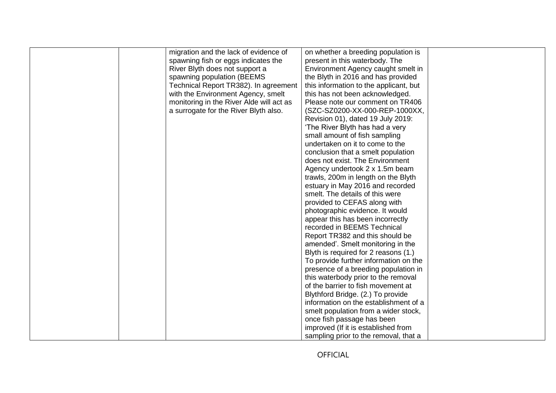| migration and the lack of evidence of    | on whether a breeding population is    |  |
|------------------------------------------|----------------------------------------|--|
| spawning fish or eggs indicates the      | present in this waterbody. The         |  |
| River Blyth does not support a           | Environment Agency caught smelt in     |  |
| spawning population (BEEMS               | the Blyth in 2016 and has provided     |  |
| Technical Report TR382). In agreement    | this information to the applicant, but |  |
| with the Environment Agency, smelt       | this has not been acknowledged.        |  |
| monitoring in the River Alde will act as | Please note our comment on TR406       |  |
| a surrogate for the River Blyth also.    | (SZC-SZ0200-XX-000-REP-1000XX,         |  |
|                                          | Revision 01), dated 19 July 2019:      |  |
|                                          | 'The River Blyth has had a very        |  |
|                                          | small amount of fish sampling          |  |
|                                          | undertaken on it to come to the        |  |
|                                          | conclusion that a smelt population     |  |
|                                          | does not exist. The Environment        |  |
|                                          | Agency undertook 2 x 1.5m beam         |  |
|                                          | trawls, 200m in length on the Blyth    |  |
|                                          | estuary in May 2016 and recorded       |  |
|                                          | smelt. The details of this were        |  |
|                                          | provided to CEFAS along with           |  |
|                                          | photographic evidence. It would        |  |
|                                          | appear this has been incorrectly       |  |
|                                          | recorded in BEEMS Technical            |  |
|                                          | Report TR382 and this should be        |  |
|                                          | amended'. Smelt monitoring in the      |  |
|                                          | Blyth is required for 2 reasons (1.)   |  |
|                                          | To provide further information on the  |  |
|                                          | presence of a breeding population in   |  |
|                                          | this waterbody prior to the removal    |  |
|                                          | of the barrier to fish movement at     |  |
|                                          | Blythford Bridge. (2.) To provide      |  |
|                                          | information on the establishment of a  |  |
|                                          | smelt population from a wider stock,   |  |
|                                          | once fish passage has been             |  |
|                                          | improved (If it is established from    |  |
|                                          |                                        |  |
|                                          | sampling prior to the removal, that a  |  |